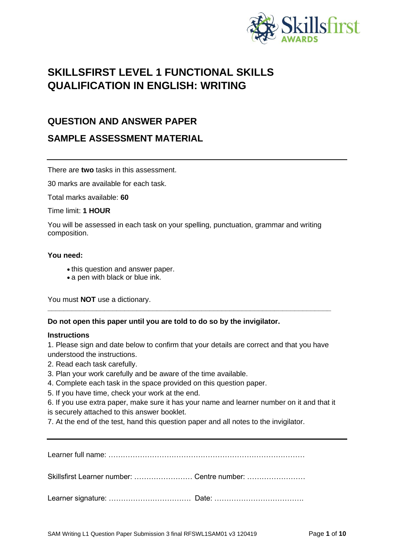

# **SKILLSFIRST LEVEL 1 FUNCTIONAL SKILLS QUALIFICATION IN ENGLISH: WRITING**

### **QUESTION AND ANSWER PAPER**

## **SAMPLE ASSESSMENT MATERIAL**

There are **two** tasks in this assessment.

30 marks are available for each task.

Total marks available: **60**

Time limit: **1 HOUR**

You will be assessed in each task on your spelling, punctuation, grammar and writing composition.

#### **You need:**

- this question and answer paper.
- a pen with black or blue ink.

You must **NOT** use a dictionary.

#### **Do not open this paper until you are told to do so by the invigilator.**

#### **Instructions**

1. Please sign and date below to confirm that your details are correct and that you have understood the instructions.

**\_\_\_\_\_\_\_\_\_\_\_\_\_\_\_\_\_\_\_\_\_\_\_\_\_\_\_\_\_\_\_\_\_\_\_\_\_\_\_\_\_\_\_\_\_\_\_\_\_\_\_\_\_\_\_\_\_\_\_\_\_\_\_\_\_\_\_\_\_\_**

- 2. Read each task carefully.
- 3. Plan your work carefully and be aware of the time available.
- 4. Complete each task in the space provided on this question paper.
- 5. If you have time, check your work at the end.
- 6. If you use extra paper, make sure it has your name and learner number on it and that it is securely attached to this answer booklet.
- 7. At the end of the test, hand this question paper and all notes to the invigilator.

| Skillsfirst Learner number:  Centre number: |  |
|---------------------------------------------|--|
|                                             |  |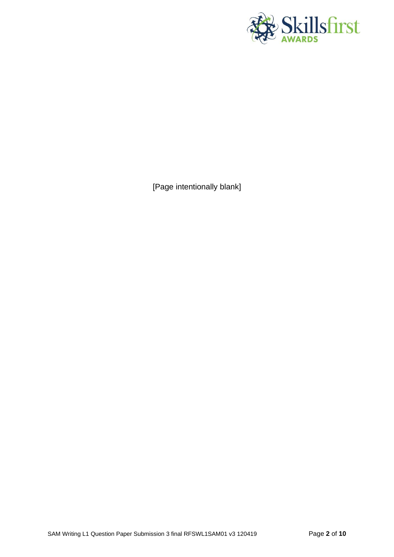

[Page intentionally blank]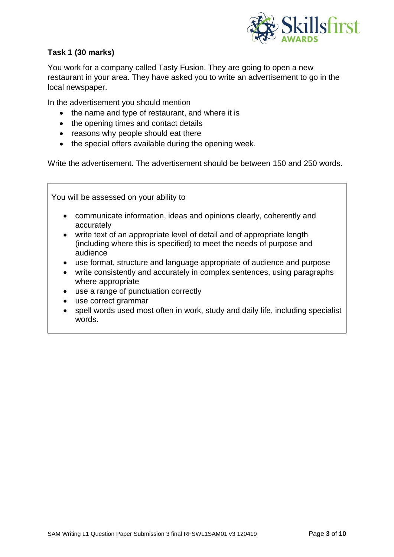

### **Task 1 (30 marks)**

You work for a company called Tasty Fusion. They are going to open a new restaurant in your area. They have asked you to write an advertisement to go in the local newspaper.

In the advertisement you should mention

- the name and type of restaurant, and where it is
- the opening times and contact details
- reasons why people should eat there
- the special offers available during the opening week.

Write the advertisement. The advertisement should be between 150 and 250 words.

You will be assessed on your ability to

- communicate information, ideas and opinions clearly, coherently and accurately
- write text of an appropriate level of detail and of appropriate length (including where this is specified) to meet the needs of purpose and audience
- use format, structure and language appropriate of audience and purpose
- write consistently and accurately in complex sentences, using paragraphs where appropriate
- use a range of punctuation correctly
- use correct grammar
- spell words used most often in work, study and daily life, including specialist words.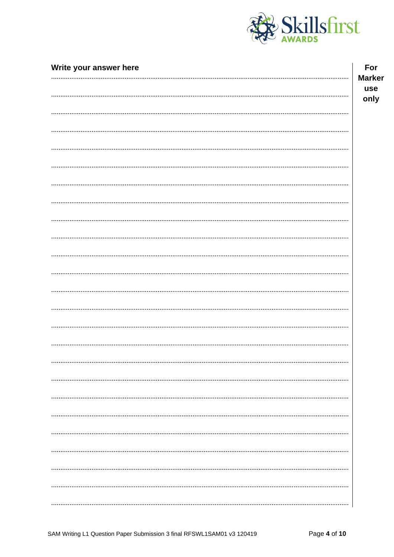

| Write your answer here | For           |
|------------------------|---------------|
|                        | <b>Marker</b> |
|                        | use           |
|                        | only          |
|                        |               |
|                        |               |
|                        |               |
|                        |               |
|                        |               |
|                        |               |
|                        |               |
|                        |               |
|                        |               |
|                        |               |
|                        |               |
|                        |               |
|                        |               |
|                        |               |
|                        |               |
|                        |               |
|                        |               |
|                        |               |
|                        |               |
|                        |               |
|                        |               |
|                        |               |
|                        |               |
|                        |               |
|                        |               |
|                        |               |
|                        |               |
|                        |               |
|                        |               |
|                        |               |
|                        |               |
|                        |               |
|                        |               |
|                        |               |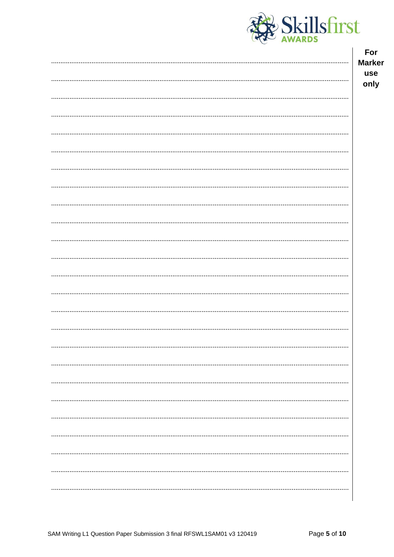

| For           |
|---------------|
| <b>Marker</b> |
| use<br>only   |
|               |
|               |
|               |
|               |
|               |
|               |
|               |
|               |
|               |
|               |
|               |
|               |
|               |
|               |
|               |
|               |
|               |
|               |
|               |
|               |
|               |
|               |
|               |
|               |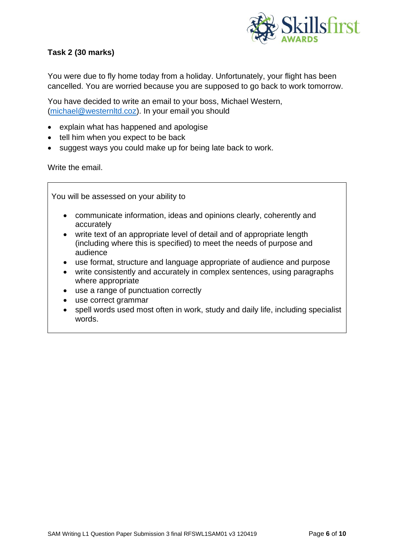

### **Task 2 (30 marks)**

You were due to fly home today from a holiday. Unfortunately, your flight has been cancelled. You are worried because you are supposed to go back to work tomorrow.

You have decided to write an email to your boss, Michael Western, [\(michael@westernltd.coz\)](mailto:michael@westernltd.coz). In your email you should

- explain what has happened and apologise
- tell him when you expect to be back
- suggest ways you could make up for being late back to work.

Write the email.

You will be assessed on your ability to

- communicate information, ideas and opinions clearly, coherently and accurately
- write text of an appropriate level of detail and of appropriate length (including where this is specified) to meet the needs of purpose and audience
- use format, structure and language appropriate of audience and purpose
- write consistently and accurately in complex sentences, using paragraphs where appropriate
- use a range of punctuation correctly
- use correct grammar
- spell words used most often in work, study and daily life, including specialist words.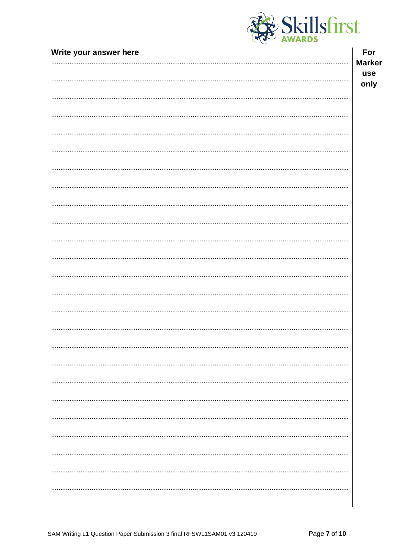

| Write your answer here | For<br><b>Marker</b> |
|------------------------|----------------------|
|                        | use                  |
|                        | only                 |
|                        |                      |
|                        |                      |
|                        |                      |
|                        |                      |
|                        |                      |
|                        |                      |
|                        |                      |
|                        |                      |
|                        |                      |
|                        |                      |
|                        |                      |
|                        |                      |
|                        |                      |
|                        |                      |
|                        |                      |
| .                      |                      |
|                        |                      |
|                        |                      |
|                        |                      |
| .                      |                      |
|                        |                      |
|                        |                      |
|                        |                      |
|                        |                      |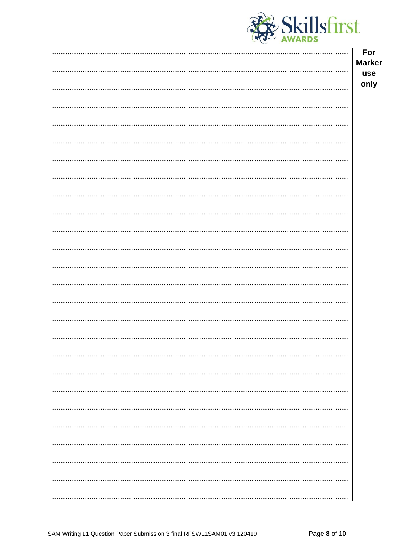

For

|   | For           |
|---|---------------|
|   | <b>Marker</b> |
|   | use           |
|   | only          |
|   |               |
|   |               |
|   |               |
|   |               |
|   |               |
|   |               |
|   |               |
|   |               |
|   |               |
|   |               |
|   |               |
|   |               |
|   |               |
|   |               |
|   |               |
|   |               |
|   |               |
|   |               |
|   |               |
|   |               |
|   |               |
|   |               |
|   |               |
|   |               |
|   |               |
|   |               |
|   |               |
|   |               |
|   |               |
|   |               |
|   |               |
|   |               |
|   |               |
|   |               |
|   |               |
|   |               |
|   |               |
| . |               |
|   |               |
|   |               |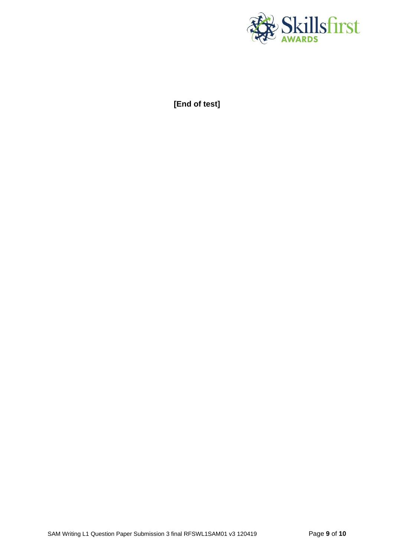

**[End of test]**